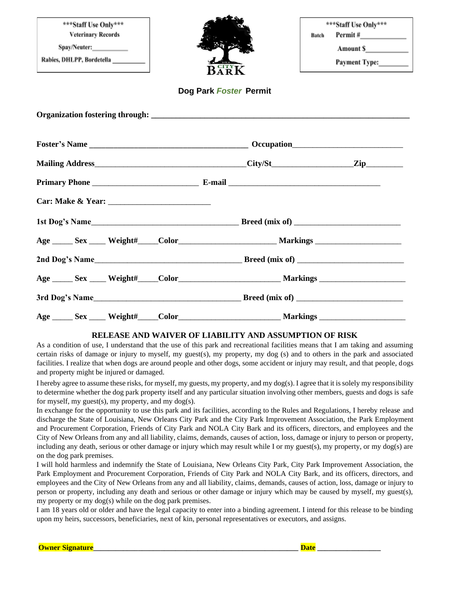| ***Staff Use Only***<br><b>Veterinary Records</b><br>Rabies, DHLPP, Bordetella _________ |  | BARK                   | ***Staff Use Only***<br>Permit $\#$<br>Batch<br>Amount \$<br>Payment Type:________ |  |
|------------------------------------------------------------------------------------------|--|------------------------|------------------------------------------------------------------------------------|--|
|                                                                                          |  | Dog Park Foster Permit |                                                                                    |  |
|                                                                                          |  |                        |                                                                                    |  |
|                                                                                          |  |                        |                                                                                    |  |
|                                                                                          |  |                        |                                                                                    |  |
|                                                                                          |  |                        |                                                                                    |  |
|                                                                                          |  |                        |                                                                                    |  |
|                                                                                          |  |                        |                                                                                    |  |
|                                                                                          |  |                        |                                                                                    |  |
|                                                                                          |  |                        |                                                                                    |  |
|                                                                                          |  |                        |                                                                                    |  |
|                                                                                          |  |                        |                                                                                    |  |
|                                                                                          |  |                        |                                                                                    |  |

## **RELEASE AND WAIVER OF LIABILITY AND ASSUMPTION OF RISK**

As a condition of use, I understand that the use of this park and recreational facilities means that I am taking and assuming certain risks of damage or injury to myself, my guest(s), my property, my dog (s) and to others in the park and associated facilities. I realize that when dogs are around people and other dogs, some accident or injury may result, and that people, dogs and property might be injured or damaged.

I hereby agree to assume these risks, for myself, my guests, my property, and my dog(s). I agree that it is solely my responsibility to determine whether the dog park property itself and any particular situation involving other members, guests and dogs is safe for myself, my guest $(s)$ , my property, and my dog $(s)$ .

In exchange for the opportunity to use this park and its facilities, according to the Rules and Regulations, I hereby release and discharge the State of Louisiana, New Orleans City Park and the City Park Improvement Association, the Park Employment and Procurement Corporation, Friends of City Park and NOLA City Bark and its officers, directors, and employees and the City of New Orleans from any and all liability, claims, demands, causes of action, loss, damage or injury to person or property, including any death, serious or other damage or injury which may result while I or my guest(s), my property, or my dog(s) are on the dog park premises.

I will hold harmless and indemnify the State of Louisiana, New Orleans City Park, City Park Improvement Association, the Park Employment and Procurement Corporation, Friends of City Park and NOLA City Bark, and its officers, directors, and employees and the City of New Orleans from any and all liability, claims, demands, causes of action, loss, damage or injury to person or property, including any death and serious or other damage or injury which may be caused by myself, my guest(s), my property or my dog(s) while on the dog park premises.

I am 18 years old or older and have the legal capacity to enter into a binding agreement. I intend for this release to be binding upon my heirs, successors, beneficiaries, next of kin, personal representatives or executors, and assigns.